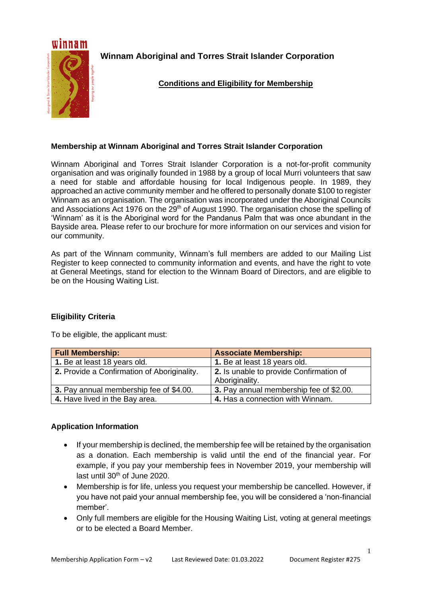

**Winnam Aboriginal and Torres Strait Islander Corporation**

# **Conditions and Eligibility for Membership**

## **Membership at Winnam Aboriginal and Torres Strait Islander Corporation**

Winnam Aboriginal and Torres Strait Islander Corporation is a not-for-profit community organisation and was originally founded in 1988 by a group of local Murri volunteers that saw a need for stable and affordable housing for local Indigenous people. In 1989, they approached an active community member and he offered to personally donate \$100 to register Winnam as an organisation. The organisation was incorporated under the Aboriginal Councils and Associations Act 1976 on the 29<sup>th</sup> of August 1990. The organisation chose the spelling of 'Winnam' as it is the Aboriginal word for the Pandanus Palm that was once abundant in the Bayside area. Please refer to our brochure for more information on our services and vision for our community.

As part of the Winnam community, Winnam's full members are added to our Mailing List Register to keep connected to community information and events, and have the right to vote at General Meetings, stand for election to the Winnam Board of Directors, and are eligible to be on the Housing Waiting List.

### **Eligibility Criteria**

To be eligible, the applicant must:

| <b>Full Membership:</b>                     | <b>Associate Membership:</b>                              |
|---------------------------------------------|-----------------------------------------------------------|
| 1. Be at least 18 years old.                | 1. Be at least 18 years old.                              |
| 2. Provide a Confirmation of Aboriginality. | 2. Is unable to provide Confirmation of<br>Aboriginality. |
| 3. Pay annual membership fee of \$4.00.     | 3. Pay annual membership fee of \$2.00.                   |
| 4. Have lived in the Bay area.              | 4. Has a connection with Winnam.                          |

### **Application Information**

- If your membership is declined, the membership fee will be retained by the organisation as a donation. Each membership is valid until the end of the financial year. For example, if you pay your membership fees in November 2019, your membership will last until 30<sup>th</sup> of June 2020.
- Membership is for life, unless you request your membership be cancelled. However, if you have not paid your annual membership fee, you will be considered a 'non-financial member'.
- Only full members are eligible for the Housing Waiting List, voting at general meetings or to be elected a Board Member.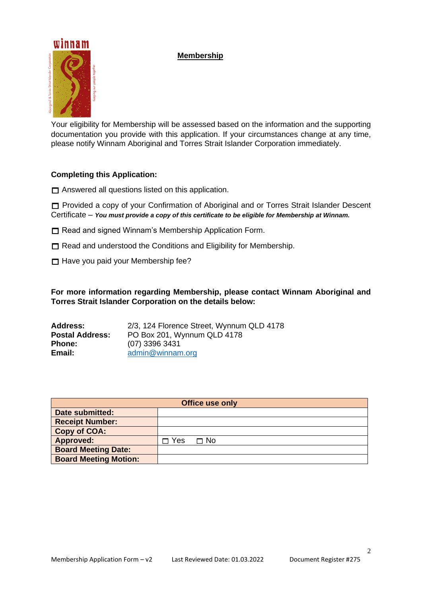## **Membership**



Your eligibility for Membership will be assessed based on the information and the supporting documentation you provide with this application. If your circumstances change at any time, please notify Winnam Aboriginal and Torres Strait Islander Corporation immediately.

#### **Completing this Application:**

 $\Box$  Answered all questions listed on this application.

 Provided a copy of your Confirmation of Aboriginal and or Torres Strait Islander Descent Certificate – *You must provide a copy of this certificate to be eligible for Membership at Winnam.*

- $\Box$  Read and signed Winnam's Membership Application Form.
- $\Box$  Read and understood the Conditions and Eligibility for Membership.
- $\Box$  Have you paid your Membership fee?

**For more information regarding Membership, please contact Winnam Aboriginal and Torres Strait Islander Corporation on the details below:**

| <b>Address:</b>        | 2/3, 124 Florence Street, Wynnum QLD 4178 |
|------------------------|-------------------------------------------|
| <b>Postal Address:</b> | PO Box 201, Wynnum QLD 4178               |
| <b>Phone:</b>          | (07) 3396 3431                            |
| Email:                 | admin@winnam.org                          |

| <b>Office use only</b>       |     |      |
|------------------------------|-----|------|
| Date submitted:              |     |      |
| <b>Receipt Number:</b>       |     |      |
| <b>Copy of COA:</b>          |     |      |
| <b>Approved:</b>             | Yes | ⊓ No |
| <b>Board Meeting Date:</b>   |     |      |
| <b>Board Meeting Motion:</b> |     |      |

2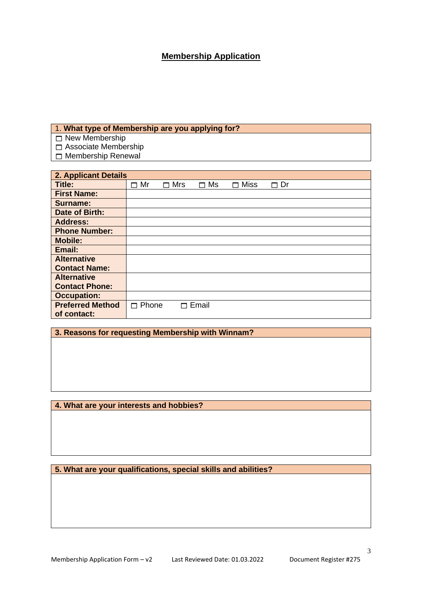# **Membership Application**

#### 1. **What type of Membership are you applying for?**

New Membership

Associate Membership

Membership Renewal

| 2. Applicant Details    |            |            |         |                  |           |
|-------------------------|------------|------------|---------|------------------|-----------|
| Title:                  | $\Box$ Mr  | $\Box$ Mrs | Ms<br>П | <b>Miss</b><br>┍ | $\Box$ Dr |
| <b>First Name:</b>      |            |            |         |                  |           |
| <b>Surname:</b>         |            |            |         |                  |           |
| Date of Birth:          |            |            |         |                  |           |
| <b>Address:</b>         |            |            |         |                  |           |
| <b>Phone Number:</b>    |            |            |         |                  |           |
| <b>Mobile:</b>          |            |            |         |                  |           |
| Email:                  |            |            |         |                  |           |
| <b>Alternative</b>      |            |            |         |                  |           |
| <b>Contact Name:</b>    |            |            |         |                  |           |
| <b>Alternative</b>      |            |            |         |                  |           |
| <b>Contact Phone:</b>   |            |            |         |                  |           |
| <b>Occupation:</b>      |            |            |         |                  |           |
| <b>Preferred Method</b> | Phone<br>П |            | Email   |                  |           |
| of contact:             |            |            |         |                  |           |

## **3. Reasons for requesting Membership with Winnam?**

**4. What are your interests and hobbies?**

**5. What are your qualifications, special skills and abilities?**

3